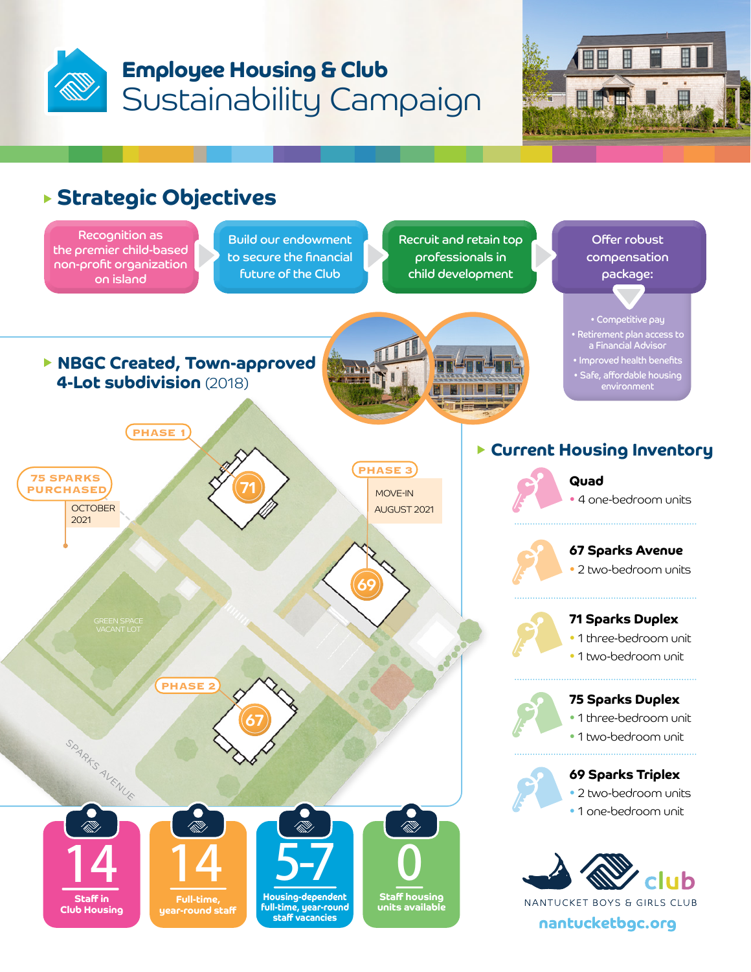



## **Strategic Objectives**